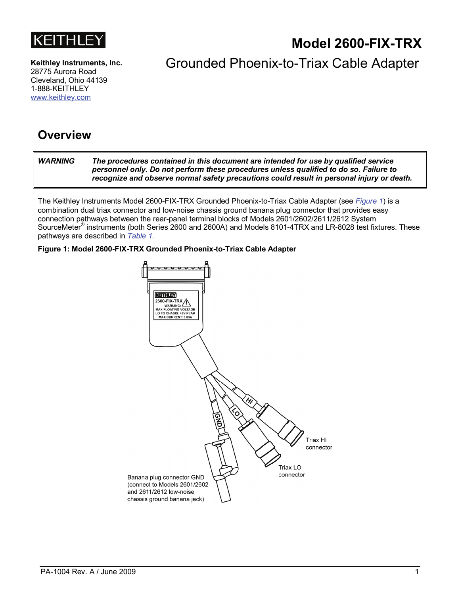

**Model 2600-FIX-TRX** 

**Keithley Instruments, Inc.** 28775 Aurora Road Cleveland, Ohio 44139 1-888-KEITHLEY www.keithley.com

Grounded Phoenix-to-Triax Cable Adapter

### **Overview**

#### *WARNING The procedures contained in this document are intended for use by qualified service personnel only. Do not perform these procedures unless qualified to do so. Failure to recognize and observe normal safety precautions could result in personal injury or death.*

The Keithley Instruments Model 2600-FIX-TRX Grounded Phoenix-to-Triax Cable Adapter (see *[Figure 1](#page-0-0)*) is a combination dual triax connector and low-noise chassis ground banana plug connector that provides easy connection pathways between the rear-panel terminal blocks of Models 2601/2602/2611/2612 System SourceMeter<sup>®</sup> instruments (both Series 2600 and 2600A) and Models 8101-4TRX and LR-8028 test fixtures. These pathways are described in *[Table 1.](#page-1-0)*

<span id="page-0-0"></span>

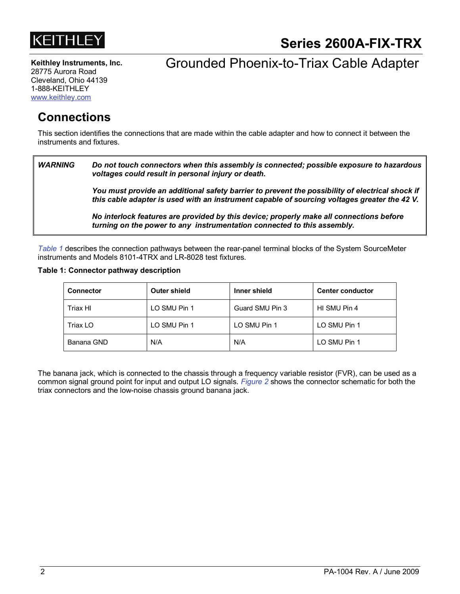

## **Series 2600A-FIX-TRX**

**Keithley Instruments, Inc.** 28775 Aurora Road Cleveland, Ohio 44139 1-888-KEITHLEY www.keithley.com

Grounded Phoenix-to-Triax Cable Adapter

### **Connections**

This section identifies the connections that are made within the cable adapter and how to connect it between the instruments and fixtures.

*WARNING Do not touch connectors when this assembly is connected; possible exposure to hazardous voltages could result in personal injury or death.* 

> *You must provide an additional safety barrier to prevent the possibility of electrical shock if this cable adapter is used with an instrument capable of sourcing voltages greater the 42 V.*

*No interlock features are provided by this device; properly make all connections before turning on the power to any instrumentation connected to this assembly.* 

*[Table 1](#page-1-0)* describes the connection pathways between the rear-panel terminal blocks of the System SourceMeter instruments and Models 8101-4TRX and LR-8028 test fixtures.

<span id="page-1-0"></span>

| Table 1: Connector pathway description |  |  |  |  |  |  |
|----------------------------------------|--|--|--|--|--|--|
|----------------------------------------|--|--|--|--|--|--|

| <b>Connector</b> | Outer shield | Inner shield    | <b>Center conductor</b> |
|------------------|--------------|-----------------|-------------------------|
| Triax HI         | LO SMU Pin 1 | Guard SMU Pin 3 | HI SMU Pin 4            |
| Triax LO         | LO SMU Pin 1 | LO SMU Pin 1    | LO SMU Pin 1            |
| Banana GND       | N/A          | N/A             | LO SMU Pin 1            |

The banana jack, which is connected to the chassis through a frequency variable resistor (FVR), can be used as a common signal ground point for input and output LO signals. *[Figure 2](#page-2-0)* shows the connector schematic for both the triax connectors and the low-noise chassis ground banana jack.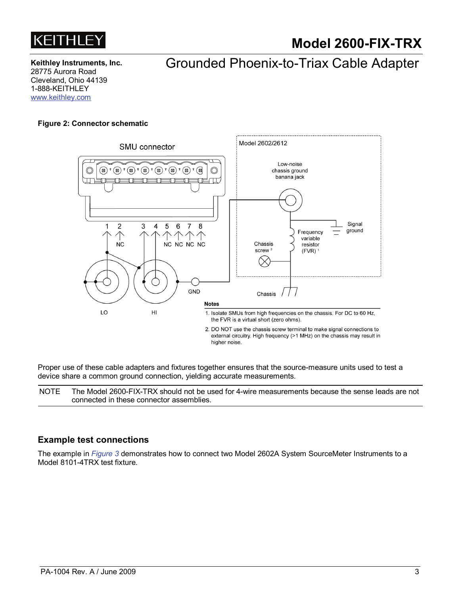

# **Model 2600-FIX-TRX**

**Keithley Instruments, Inc.** 28775 Aurora Road Cleveland, Ohio 44139 1-888-KEITHLEY www.keithley.com

## Grounded Phoenix-to-Triax Cable Adapter

#### <span id="page-2-0"></span>**Figure 2: Connector schematic**



Proper use of these cable adapters and fixtures together ensures that the source-measure units used to test a device share a common ground connection, yielding accurate measurements.

NOTE The Model 2600-FIX-TRX should not be used for 4-wire measurements because the sense leads are not connected in these connector assemblies.

#### **Example test connections**

The example in *[Figure 3](#page-3-0)* demonstrates how to connect two Model 2602A System SourceMeter Instruments to a Model 8101-4TRX test fixture.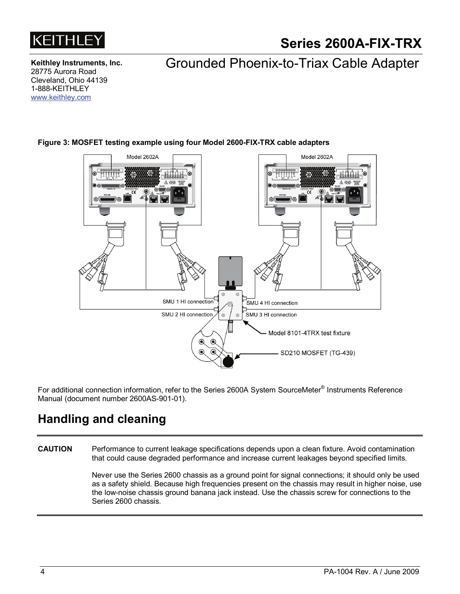

## **Series 2600A-FIX-TRX**

**Keithley Instruments, Inc.** 28775 Aurora Road Cleveland, Ohio 44139 1-888-KEITHLEY www.keithley.com

## Grounded Phoenix-to-Triax Cable Adapter



<span id="page-3-0"></span>**Figure 3: MOSFET testing example using four Model 2600-FIX-TRX cable adapters** 

For additional connection information, refer to the Series 2600A System SourceMeter<sup>®</sup> Instruments Reference Manual (document number 2600AS-901-01).

### **Handling and cleaning**

**CAUTION** Performance to current leakage specifications depends upon a clean fixture. Avoid contamination that could cause degraded performance and increase current leakages beyond specified limits.

> Never use the Series 2600 chassis as a ground point for signal connections; it should only be used as a safety shield. Because high frequencies present on the chassis may result in higher noise, use the low-noise chassis ground banana jack instead. Use the chassis screw for connections to the Series 2600 chassis.